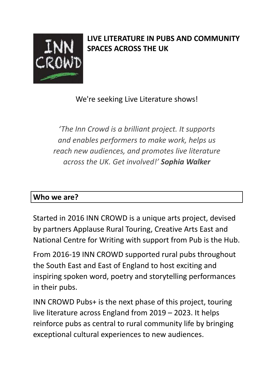

# **LIVE LITERATURE IN PUBS AND COMMUNITY SPACES ACROSS THE UK**

We're seeking Live Literature shows!

*'The Inn Crowd is a brilliant project. It supports and enables performers to make work, helps us reach new audiences, and promotes live literature across the UK. Get involved!' Sophia Walker*

#### **Who we are?**

Started in 2016 INN CROWD is a unique arts project, devised by partners Applause Rural Touring, Creative Arts East and National Centre for Writing with support from Pub is the Hub.

From 2016-19 INN CROWD supported rural pubs throughout the South East and East of England to host exciting and inspiring spoken word, poetry and storytelling performances in their pubs.

INN CROWD Pubs+ is the next phase of this project, touring live literature across England from 2019 – 2023. It helps reinforce pubs as central to rural community life by bringing exceptional cultural experiences to new audiences.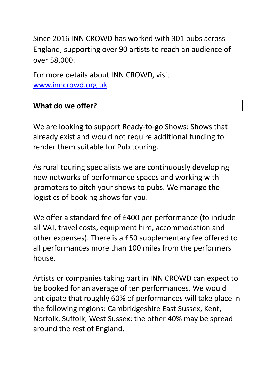Since 2016 INN CROWD has worked with 301 pubs across England, supporting over 90 artists to reach an audience of over 58,000.

For more details about INN CROWD, visit [www.inncrowd.org.uk](http://www.inncrowd.org.uk)

#### **What do we offer?**

We are looking to support Ready-to-go Shows: Shows that already exist and would not require additional funding to render them suitable for Pub touring.

As rural touring specialists we are continuously developing new networks of performance spaces and working with promoters to pitch your shows to pubs. We manage the logistics of booking shows for you.

We offer a standard fee of £400 per performance (to include all VAT, travel costs, equipment hire, accommodation and other expenses). There is a £50 supplementary fee offered to all performances more than 100 miles from the performers house.

Artists or companies taking part in INN CROWD can expect to be booked for an average of ten performances. We would anticipate that roughly 60% of performances will take place in the following regions: Cambridgeshire East Sussex, Kent, Norfolk, Suffolk, West Sussex; the other 40% may be spread around the rest of England.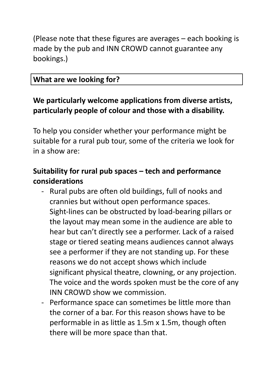(Please note that these figures are averages – each booking is made by the pub and INN CROWD cannot guarantee any bookings.)

#### **What are we looking for?**

## **We particularly welcome applications from diverse artists, particularly people of colour and those with a disability.**

To help you consider whether your performance might be suitable for a rural pub tour, some of the criteria we look for in a show are:

## **Suitability for rural pub spaces – tech and performance considerations**

- Rural pubs are often old buildings, full of nooks and crannies but without open performance spaces. Sight-lines can be obstructed by load-bearing pillars or the layout may mean some in the audience are able to hear but can't directly see a performer. Lack of a raised stage or tiered seating means audiences cannot always see a performer if they are not standing up. For these reasons we do not accept shows which include significant physical theatre, clowning, or any projection. The voice and the words spoken must be the core of any INN CROWD show we commission.
- Performance space can sometimes be little more than the corner of a bar. For this reason shows have to be performable in as little as 1.5m x 1.5m, though often there will be more space than that.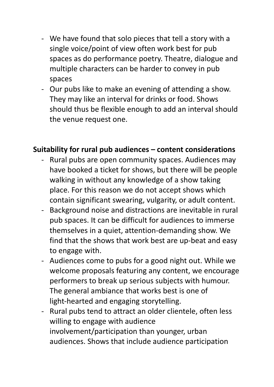- We have found that solo pieces that tell a story with a single voice/point of view often work best for pub spaces as do performance poetry. Theatre, dialogue and multiple characters can be harder to convey in pub spaces
- Our pubs like to make an evening of attending a show. They may like an interval for drinks or food. Shows should thus be flexible enough to add an interval should the venue request one.

### **Suitability for rural pub audiences – content considerations**

- Rural pubs are open community spaces. Audiences may have booked a ticket for shows, but there will be people walking in without any knowledge of a show taking place. For this reason we do not accept shows which contain significant swearing, vulgarity, or adult content.
- Background noise and distractions are inevitable in rural pub spaces. It can be difficult for audiences to immerse themselves in a quiet, attention-demanding show. We find that the shows that work best are up-beat and easy to engage with.
- Audiences come to pubs for a good night out. While we welcome proposals featuring any content, we encourage performers to break up serious subjects with humour. The general ambiance that works best is one of light-hearted and engaging storytelling.
- Rural pubs tend to attract an older clientele, often less willing to engage with audience involvement/participation than younger, urban audiences. Shows that include audience participation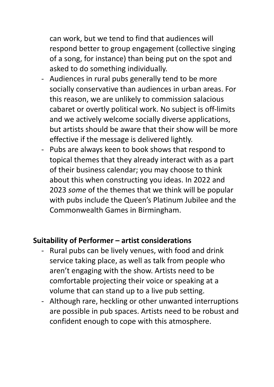can work, but we tend to find that audiences will respond better to group engagement (collective singing of a song, for instance) than being put on the spot and asked to do something individually.

- Audiences in rural pubs generally tend to be more socially conservative than audiences in urban areas. For this reason, we are unlikely to commission salacious cabaret or overtly political work. No subject is off-limits and we actively welcome socially diverse applications, but artists should be aware that their show will be more effective if the message is delivered lightly.
- Pubs are always keen to book shows that respond to topical themes that they already interact with as a part of their business calendar; you may choose to think about this when constructing you ideas. In 2022 and 2023 *some* of the themes that we think will be popular with pubs include the Queen's Platinum Jubilee and the Commonwealth Games in Birmingham.

### **Suitability of Performer – artist considerations**

- Rural pubs can be lively venues, with food and drink service taking place, as well as talk from people who aren't engaging with the show. Artists need to be comfortable projecting their voice or speaking at a volume that can stand up to a live pub setting.
- Although rare, heckling or other unwanted interruptions are possible in pub spaces. Artists need to be robust and confident enough to cope with this atmosphere.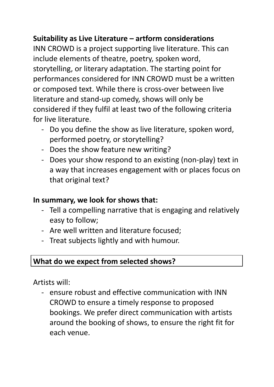### **Suitability as Live Literature – artform considerations**

INN CROWD is a project supporting live literature. This can include elements of theatre, poetry, spoken word, storytelling, or literary adaptation. The starting point for performances considered for INN CROWD must be a written or composed text. While there is cross-over between live literature and stand-up comedy, shows will only be considered if they fulfil at least two of the following criteria for live literature.

- Do you define the show as live literature, spoken word, performed poetry, or storytelling?
- Does the show feature new writing?
- Does your show respond to an existing (non-play) text in a way that increases engagement with or places focus on that original text?

#### **In summary, we look for shows that:**

- Tell a compelling narrative that is engaging and relatively easy to follow;
- Are well written and literature focused;
- Treat subjects lightly and with humour.

#### **What do we expect from selected shows?**

Artists will:

ensure robust and effective communication with INN CROWD to ensure a timely response to proposed bookings. We prefer direct communication with artists around the booking of shows, to ensure the right fit for each venue.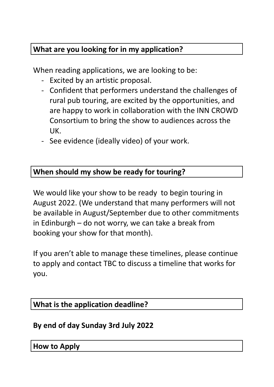## **What are you looking for in my application?**

When reading applications, we are looking to be:

- Excited by an artistic proposal.
- Confident that performers understand the challenges of rural pub touring, are excited by the opportunities, and are happy to work in collaboration with the INN CROWD Consortium to bring the show to audiences across the UK.
- See evidence (ideally video) of your work.

### **When should my show be ready for touring?**

We would like your show to be ready to begin touring in August 2022. (We understand that many performers will not be available in August/September due to other commitments in Edinburgh – do not worry, we can take a break from booking your show for that month).

If you aren't able to manage these timelines, please continue to apply and contact TBC to discuss a timeline that works for you.

### **What is the application deadline?**

### **By end of day Sunday 3rd July 2022**

#### **How to Apply**